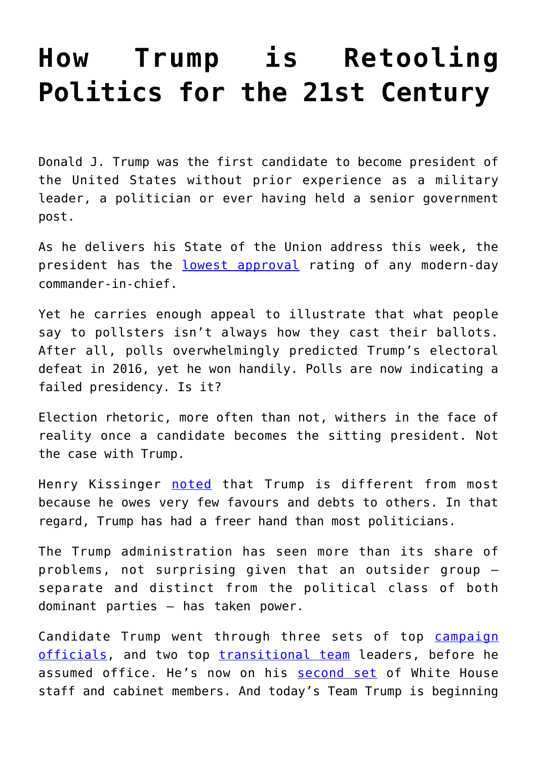# **[How Trump is Retooling](https://intellectualtakeout.org/2018/01/how-trump-is-retooling-politics-for-the-21st-century/) [Politics for the 21st Century](https://intellectualtakeout.org/2018/01/how-trump-is-retooling-politics-for-the-21st-century/)**

Donald J. Trump was the first candidate to become president of the United States without prior experience as a military leader, a politician or ever having held a senior government post.

As he delivers his State of the Union address this week, the president has the [lowest approval](https://qz.com/1190209/trump-will-deliver-his-first-state-of-the-union-on-tuesday-heres-what-to-expect/) rating of any modern-day commander-in-chief.

Yet he carries enough appeal to illustrate that what people say to pollsters isn't always how they cast their ballots. After all, polls overwhelmingly predicted Trump's electoral defeat in 2016, yet he won handily. Polls are now indicating a failed presidency. Is it?

Election rhetoric, more often than not, withers in the face of reality once a candidate becomes the sitting president. Not the case with Trump.

Henry Kissinger [noted](http://thehill.com/homenews/campaign/306949-kissinger-trump-has-no-baggage) that Trump is different from most because he owes very few favours and debts to others. In that regard, Trump has had a freer hand than most politicians.

The Trump administration has seen more than its share of problems, not surprising given that an outsider group separate and distinct from the political class of both dominant parties — has taken power.

Candidate Trump went through three sets of top [campaign](https://ballotpedia.org/Donald_Trump_presidential_campaign_key_staff_and_advisors,_2016) [officials,](https://ballotpedia.org/Donald_Trump_presidential_campaign_key_staff_and_advisors,_2016) and two top [transitional team](https://ballotpedia.org/Donald_Trump_presidential_transition_team) leaders, before he assumed office. He's now on his [second set](http://www.huffingtonpost.ca/entry/white-house-staff-shakeup_us_5a465893e4b0b0e5a7a5fd4e) of White House staff and cabinet members. And today's Team Trump is beginning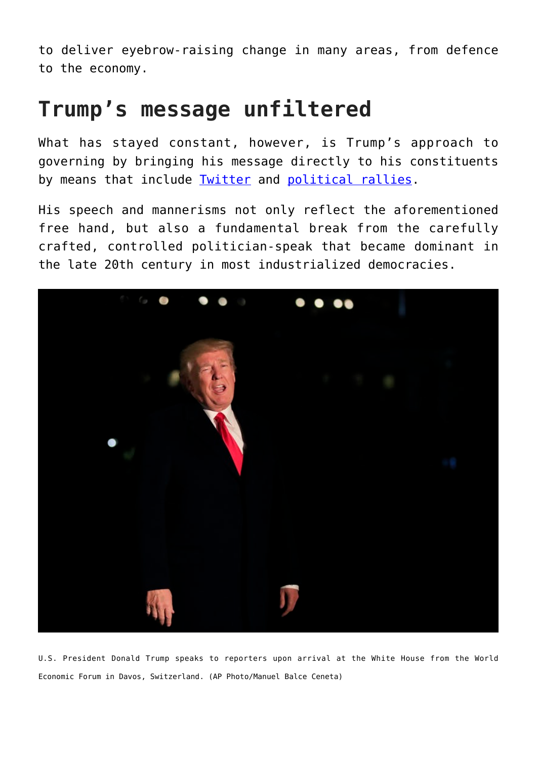to deliver eyebrow-raising change in many areas, from defence to the economy.

#### **Trump's message unfiltered**

What has stayed constant, however, is Trump's approach to governing by bringing his message directly to his constituents by means that include [Twitter](https://twitter.com/realDonaldTrump?ref_src=twsrc%5Egoogle%7Ctwcamp%5Eserp%7Ctwgr%5Eauthor) and [political rallies.](http://rsbn.tv/category/video/donald-trump/)

His speech and mannerisms not only reflect the aforementioned free hand, but also a fundamental break from the carefully crafted, controlled politician-speak that became dominant in the late 20th century in most industrialized democracies.



U.S. President Donald Trump speaks to reporters upon arrival at the White House from the World Economic Forum in Davos, Switzerland. (AP Photo/Manuel Balce Ceneta)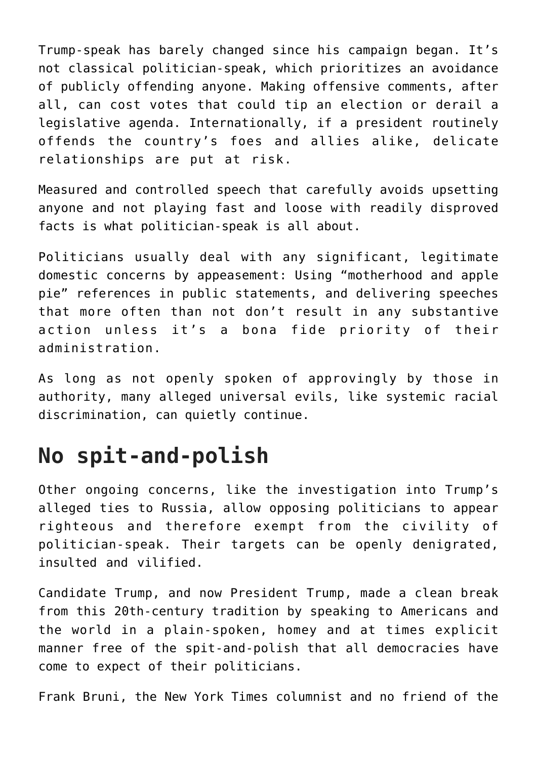Trump-speak has barely changed since his campaign began. It's not classical politician-speak, which prioritizes an avoidance of publicly offending anyone. Making offensive comments, after all, can cost votes that could tip an election or derail a legislative agenda. Internationally, if a president routinely offends the country's foes and allies alike, delicate relationships are put at risk.

Measured and controlled speech that carefully avoids upsetting anyone and not playing fast and loose with readily disproved facts is what politician-speak is all about.

Politicians usually deal with any significant, legitimate domestic concerns by appeasement: Using "motherhood and apple pie" references in public statements, and delivering speeches that more often than not don't result in any substantive action unless it's a bona fide priority of their administration.

As long as not openly spoken of approvingly by those in authority, many alleged universal evils, like systemic racial discrimination, can quietly continue.

### **No spit-and-polish**

Other ongoing concerns, like the investigation into Trump's alleged ties to Russia, allow opposing politicians to appear righteous and therefore exempt from the civility of politician-speak. Their targets can be openly denigrated, insulted and vilified.

Candidate Trump, and now President Trump, made a clean break from this 20th-century tradition by speaking to Americans and the world in a plain-spoken, homey and at times explicit manner free of the spit-and-polish that all democracies have come to expect of their politicians.

Frank Bruni, the New York Times columnist and no friend of the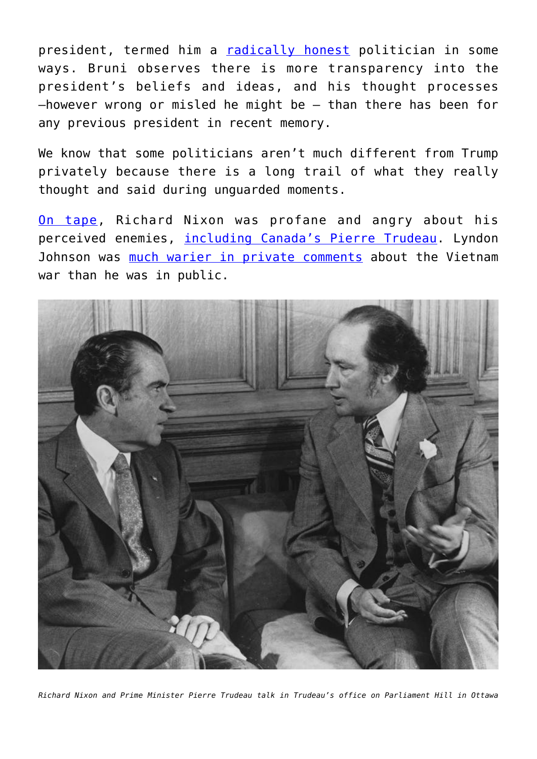president, termed him a [radically honest](https://www.nytimes.com/2018/01/19/opinion/sunday/donald-trump-lies-honesty.html) politician in some ways. Bruni observes there is more transparency into the president's beliefs and ideas, and his thought processes  $h$ -however wrong or misled he might be  $-$  than there has been for any previous president in recent memory.

We know that some politicians aren't much different from Trump privately because there is a long trail of what they really thought and said during unguarded moments.

[On tape](http://nixontapes.org/), Richard Nixon was profane and angry about his perceived enemies, [including Canada's Pierre Trudeau.](https://www.thestar.com/news/world/2008/12/08/nixon_tapes_include_testy_trudeau_chat.html) Lyndon Johnson was [much warier in private comments](http://www.history.com/speeches/lyndon-johnson-expresses-doubts-about-vietnam-war) about the Vietnam war than he was in public.



*Richard Nixon and Prime Minister Pierre Trudeau talk in Trudeau's office on Parliament Hill in Ottawa*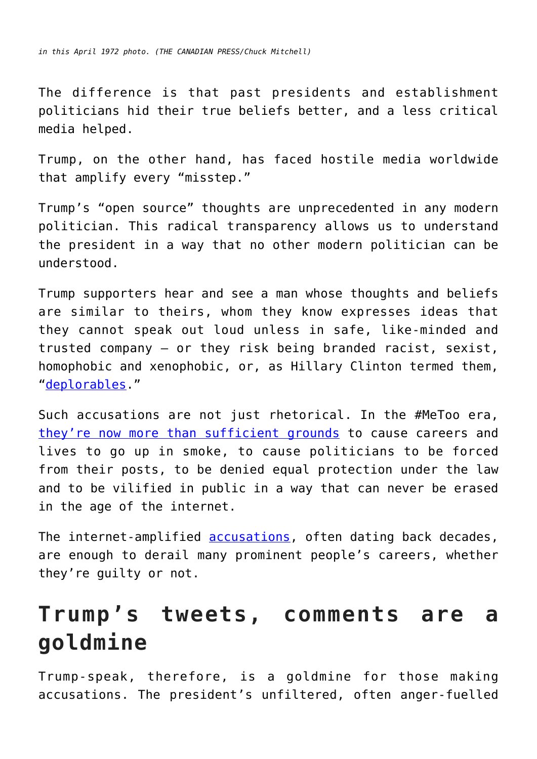*in this April 1972 photo. (THE CANADIAN PRESS/Chuck Mitchell)*

The difference is that past presidents and establishment politicians hid their true beliefs better, and a less critical media helped.

Trump, on the other hand, has faced hostile media worldwide that amplify every "misstep."

Trump's "open source" thoughts are unprecedented in any modern politician. This radical transparency allows us to understand the president in a way that no other modern politician can be understood.

Trump supporters hear and see a man whose thoughts and beliefs are similar to theirs, whom they know expresses ideas that they cannot speak out loud unless in safe, like-minded and trusted company — or they risk being branded racist, sexist, homophobic and xenophobic, or, as Hillary Clinton termed them, "[deplorables](http://www.bbc.com/news/av/election-us-2016-37329812/clinton-half-of-trump-supporters-basket-of-deplorables)."

Such accusations are not just rhetorical. In the #MeToo era, [they're now more than sufficient grounds](https://www.hilltimes.com/2018/01/29/just-start-stories-likely-hit-ottawa-coming-months-say-observers/132461) to cause careers and lives to go up in smoke, to cause politicians to be forced from their posts, to be denied equal protection under the law and to be vilified in public in a way that can never be erased in the age of the internet.

The internet-amplified [accusations,](https://www.theatlantic.com/entertainment/archive/2017/10/the-movement-of-metoo/542979/) often dating back decades, are enough to derail many prominent people's careers, whether they're guilty or not.

#### **Trump's tweets, comments are a goldmine**

Trump-speak, therefore, is a goldmine for those making accusations. The president's unfiltered, often anger-fuelled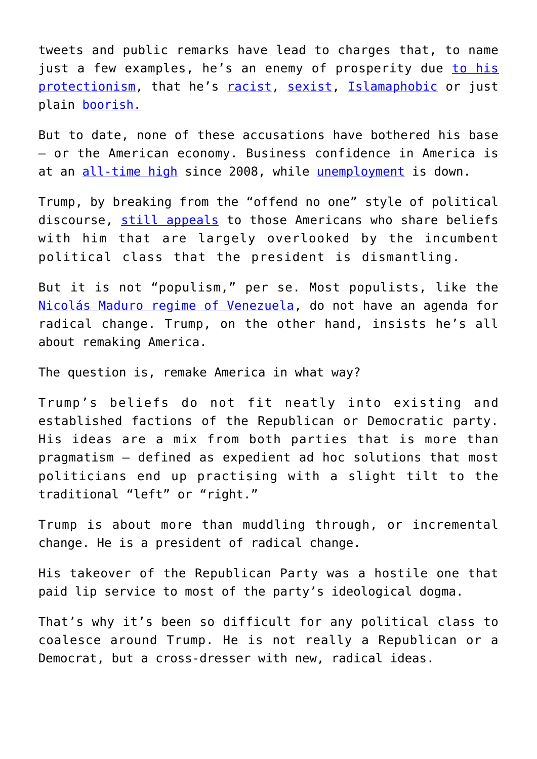tweets and public remarks have lead to charges that, to name just a few examples, he's an enemy of prosperity due [to his](http://www.independent.co.uk/news/world/americas/us-politics/davos-2018-donald-trump-protectionism-wef-america-first-us-president-world-economic-forum-a8174506.html) [protectionism](http://www.independent.co.uk/news/world/americas/us-politics/davos-2018-donald-trump-protectionism-wef-america-first-us-president-world-economic-forum-a8174506.html), that he's [racist,](https://www.nytimes.com/2018/01/15/opinion/donald-trump-racist-statements.html) [sexist,](http://www.telegraph.co.uk/women/politics/donald-trump-sexism-tracker-every-offensive-comment-in-one-place/) [Islamaphobic](http://www.huffingtonpost.ca/entry/trump-islamophobic-retweets-religious-leaders_us_5a1ec053e4b0dc52b02ade8b) or just plain [boorish.](http://www.independent.co.uk/voices/donald-trump-nato-g7-paris-treaty-russia-dwindling-base-a7758401.html)

But to date, none of these accusations have bothered his base — or the American economy. Business confidence in America is at an [all-time high](https://www.nytimes.com/2018/01/01/us/politics/trump-businesses-regulation-economic-growth.html) since 2008, while [unemployment](http://www.ncsl.org/research/labor-and-employment/national-employment-monthly-update.aspx) is down.

Trump, by breaking from the "offend no one" style of political discourse, [still appeals](https://www.vox.com/policy-and-politics/2018/1/29/16900646/trump-administration-tweets-media-polarization) to those Americans who share beliefs with him that are largely overlooked by the incumbent political class that the president is dismantling.

But it is not "populism," per se. Most populists, like the [Nicolás Maduro regime of Venezuela](https://www.reuters.com/article/us-venezuela-politics/venezuelas-presidential-battle-begins-maduro-favorite-idUSKBN1FD1BQ), do not have an agenda for radical change. Trump, on the other hand, insists he's all about remaking America.

The question is, remake America in what way?

Trump's beliefs do not fit neatly into existing and established factions of the Republican or Democratic party. His ideas are a mix from both parties that is more than pragmatism — defined as expedient ad hoc solutions that most politicians end up practising with a slight tilt to the traditional "left" or "right."

Trump is about more than muddling through, or incremental change. He is a president of radical change.

His takeover of the Republican Party was a hostile one that paid lip service to most of the party's ideological dogma.

That's why it's been so difficult for any political class to coalesce around Trump. He is not really a Republican or a Democrat, but a cross-dresser with new, radical ideas.